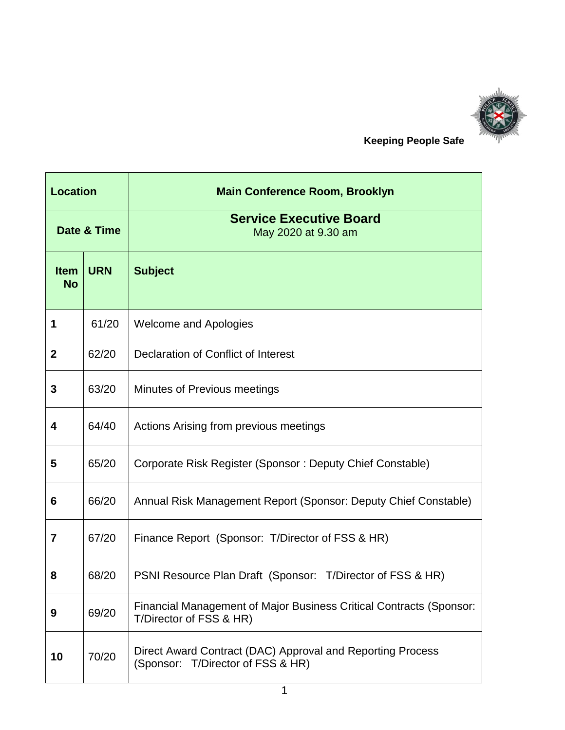

 **Keeping People Safe**

| <b>Location</b>          |            | <b>Main Conference Room, Brooklyn</b>                                                              |
|--------------------------|------------|----------------------------------------------------------------------------------------------------|
| Date & Time              |            | <b>Service Executive Board</b><br>May 2020 at 9.30 am                                              |
| <b>Item</b><br><b>No</b> | <b>URN</b> | <b>Subject</b>                                                                                     |
| 1                        | 61/20      | <b>Welcome and Apologies</b>                                                                       |
| $\mathbf{2}$             | 62/20      | Declaration of Conflict of Interest                                                                |
| 3                        | 63/20      | Minutes of Previous meetings                                                                       |
| 4                        | 64/40      | Actions Arising from previous meetings                                                             |
| 5                        | 65/20      | Corporate Risk Register (Sponsor: Deputy Chief Constable)                                          |
| 6                        | 66/20      | Annual Risk Management Report (Sponsor: Deputy Chief Constable)                                    |
| 7                        | 67/20      | Finance Report (Sponsor: T/Director of FSS & HR)                                                   |
| 8                        | 68/20      | PSNI Resource Plan Draft (Sponsor: T/Director of FSS & HR)                                         |
| 9                        | 69/20      | Financial Management of Major Business Critical Contracts (Sponsor:<br>T/Director of FSS & HR)     |
| 10                       | 70/20      | Direct Award Contract (DAC) Approval and Reporting Process<br>T/Director of FSS & HR)<br>(Sponsor: |